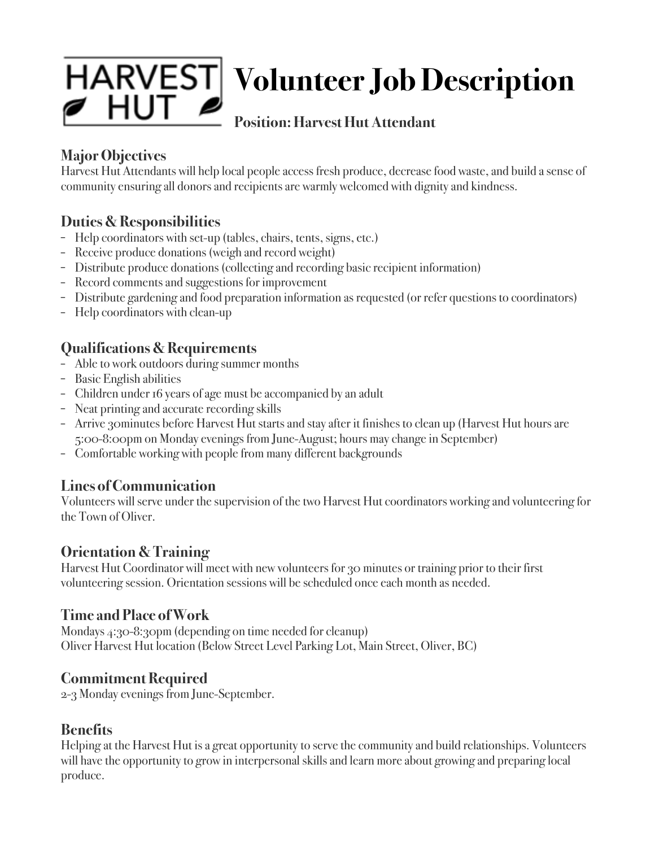

# **Volunteer Job Description**

# **Position: Harvest Hut Attendant**

# **Major Objectives**

Harvest Hut Attendants will help local people access fresh produce, decrease food waste, and build a sense of community ensuring all donors and recipients are warmly welcomed with dignity and kindness.

# **Duties & Responsibilities**

- Help coordinators with set-up (tables, chairs, tents, signs, etc.)
- Receive produce donations (weigh and record weight)
- Distribute produce donations (collecting and recording basic recipient information)
- Record comments and suggestions for improvement
- Distribute gardening and food preparation information as requested (or refer questions to coordinators)
- Help coordinators with clean-up

# **Qualifications & Requirements**

- Able to work outdoors during summer months
- Basic English abilities
- Children under 16 years of age must be accompanied by an adult
- Neat printing and accurate recording skills
- Arrive 30minutes before Harvest Hut starts and stay after it finishes to clean up (Harvest Hut hours are 5:00-8:00pm on Monday evenings from June-August; hours may change in September)
- Comfortable working with people from many different backgrounds

#### **Lines of Communication**

Volunteers will serve under the supervision of the two Harvest Hut coordinators working and volunteering for the Town of Oliver.

#### **Orientation & Training**

Harvest Hut Coordinator will meet with new volunteers for 30 minutes or training prior to their first volunteering session. Orientation sessions will be scheduled once each month as needed.

#### **Time and Place of Work**

Mondays 4:30-8:30pm (depending on time needed for cleanup) Oliver Harvest Hut location (Below Street Level Parking Lot, Main Street, Oliver, BC)

#### **Commitment Required**

2-3 Monday evenings from June-September.

#### **Benefits**

Helping at the Harvest Hut is a great opportunity to serve the community and build relationships. Volunteers will have the opportunity to grow in interpersonal skills and learn more about growing and preparing local produce.